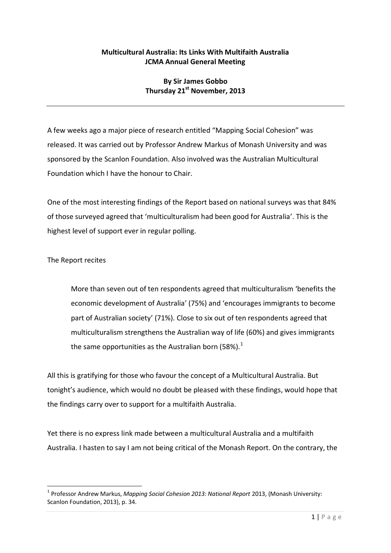## **Multicultural Australia: Its Links With Multifaith Australia JCMA Annual General Meeting**

## **By Sir James Gobbo Thursday 21 st November, 2013**

A few weeks ago a major piece of research entitled "Mapping Social Cohesion" was released. It was carried out by Professor Andrew Markus of Monash University and was sponsored by the Scanlon Foundation. Also involved was the Australian Multicultural Foundation which I have the honour to Chair.

One of the most interesting findings of the Report based on national surveys was that 84% of those surveyed agreed that 'multiculturalism had been good for Australia'. This is the highest level of support ever in regular polling.

The Report recites

1

More than seven out of ten respondents agreed that multiculturalism 'benefits the economic development of Australia' (75%) and 'encourages immigrants to become part of Australian society' (71%). Close to six out of ten respondents agreed that multiculturalism strengthens the Australian way of life (60%) and gives immigrants the same opportunities as the Australian born (58%).<sup>1</sup>

All this is gratifying for those who favour the concept of a Multicultural Australia. But tonight's audience, which would no doubt be pleased with these findings, would hope that the findings carry over to support for a multifaith Australia.

Yet there is no express link made between a multicultural Australia and a multifaith Australia. I hasten to say I am not being critical of the Monash Report. On the contrary, the

<sup>&</sup>lt;sup>1</sup> Professor Andrew Markus, *Mapping Social Cohesion 2013: National Report 2013*, (Monash University: Scanlon Foundation, 2013), p. 34.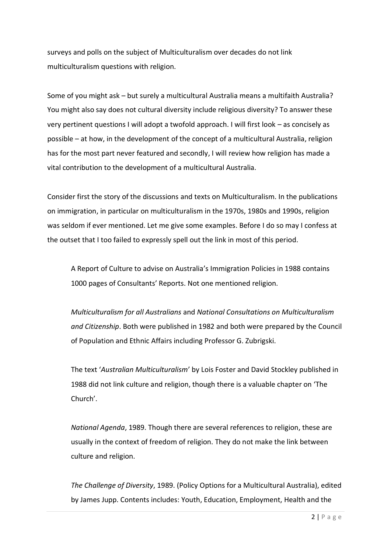surveys and polls on the subject of Multiculturalism over decades do not link multiculturalism questions with religion.

Some of you might ask – but surely a multicultural Australia means a multifaith Australia? You might also say does not cultural diversity include religious diversity? To answer these very pertinent questions I will adopt a twofold approach. I will first look – as concisely as possible – at how, in the development of the concept of a multicultural Australia, religion has for the most part never featured and secondly, I will review how religion has made a vital contribution to the development of a multicultural Australia.

Consider first the story of the discussions and texts on Multiculturalism. In the publications on immigration, in particular on multiculturalism in the 1970s, 1980s and 1990s, religion was seldom if ever mentioned. Let me give some examples. Before I do so may I confess at the outset that I too failed to expressly spell out the link in most of this period.

A Report of Culture to advise on Australia's Immigration Policies in 1988 contains 1000 pages of Consultants' Reports. Not one mentioned religion.

*Multiculturalism for all Australians* and *National Consultations on Multiculturalism and Citizenship*. Both were published in 1982 and both were prepared by the Council of Population and Ethnic Affairs including Professor G. Zubrigski.

The text '*Australian Multiculturalism*' by Lois Foster and David Stockley published in 1988 did not link culture and religion, though there is a valuable chapter on 'The Church'.

*National Agenda*, 1989. Though there are several references to religion, these are usually in the context of freedom of religion. They do not make the link between culture and religion.

*The Challenge of Diversity*, 1989. (Policy Options for a Multicultural Australia), edited by James Jupp. Contents includes: Youth, Education, Employment, Health and the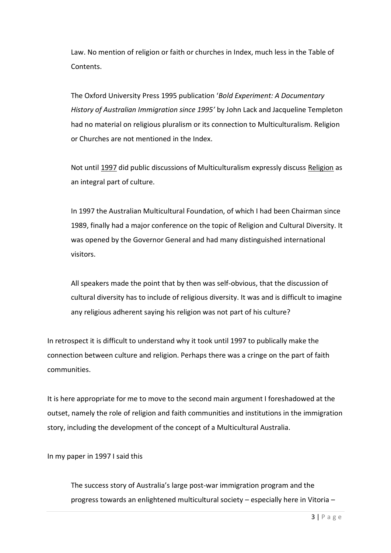Law. No mention of religion or faith or churches in Index, much less in the Table of Contents.

The Oxford University Press 1995 publication '*Bold Experiment: A Documentary History of Australian Immigration since 1995'* by John Lack and Jacqueline Templeton had no material on religious pluralism or its connection to Multiculturalism. Religion or Churches are not mentioned in the Index.

Not until 1997 did public discussions of Multiculturalism expressly discuss Religion as an integral part of culture.

In 1997 the Australian Multicultural Foundation, of which I had been Chairman since 1989, finally had a major conference on the topic of Religion and Cultural Diversity. It was opened by the Governor General and had many distinguished international visitors.

All speakers made the point that by then was self-obvious, that the discussion of cultural diversity has to include of religious diversity. It was and is difficult to imagine any religious adherent saying his religion was not part of his culture?

In retrospect it is difficult to understand why it took until 1997 to publically make the connection between culture and religion. Perhaps there was a cringe on the part of faith communities.

It is here appropriate for me to move to the second main argument I foreshadowed at the outset, namely the role of religion and faith communities and institutions in the immigration story, including the development of the concept of a Multicultural Australia.

In my paper in 1997 I said this

The success story of Australia's large post-war immigration program and the progress towards an enlightened multicultural society – especially here in Vitoria –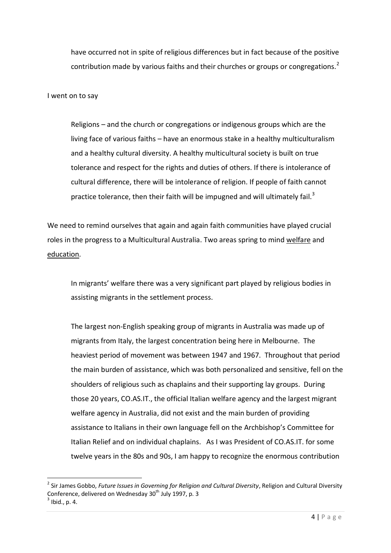have occurred not in spite of religious differences but in fact because of the positive contribution made by various faiths and their churches or groups or congregations.<sup>2</sup>

I went on to say

Religions – and the church or congregations or indigenous groups which are the living face of various faiths – have an enormous stake in a healthy multiculturalism and a healthy cultural diversity. A healthy multicultural society is built on true tolerance and respect for the rights and duties of others. If there is intolerance of cultural difference, there will be intolerance of religion. If people of faith cannot practice tolerance, then their faith will be impugned and will ultimately fail.<sup>3</sup>

We need to remind ourselves that again and again faith communities have played crucial roles in the progress to a Multicultural Australia. Two areas spring to mind welfare and education.

In migrants' welfare there was a very significant part played by religious bodies in assisting migrants in the settlement process.

The largest non-English speaking group of migrants in Australia was made up of migrants from Italy, the largest concentration being here in Melbourne. The heaviest period of movement was between 1947 and 1967. Throughout that period the main burden of assistance, which was both personalized and sensitive, fell on the shoulders of religious such as chaplains and their supporting lay groups. During those 20 years, CO.AS.IT., the official Italian welfare agency and the largest migrant welfare agency in Australia, did not exist and the main burden of providing assistance to Italians in their own language fell on the Archbishop's Committee for Italian Relief and on individual chaplains. As I was President of CO.AS.IT. for some twelve years in the 80s and 90s, I am happy to recognize the enormous contribution

**.** 

<sup>2</sup> Sir James Gobbo, *Future Issues in Governing for Religion and Cultural Diversity*, Religion and Cultural Diversity Conference, delivered on Wednesday 30<sup>th</sup> July 1997, p. 3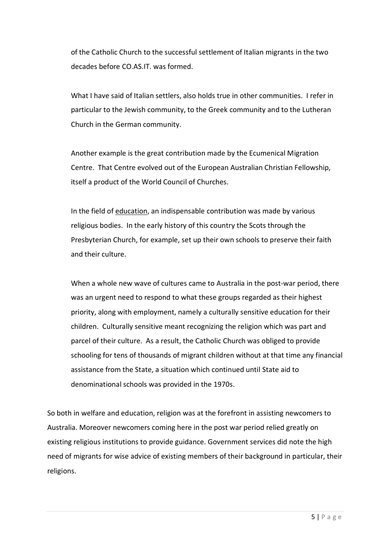of the Catholic Church to the successful settlement of Italian migrants in the two decades before CO.AS.IT. was formed.

What I have said of Italian settlers, also holds true in other communities. I refer in particular to the Jewish community, to the Greek community and to the Lutheran Church in the German community.

Another example is the great contribution made by the Ecumenical Migration Centre. That Centre evolved out of the European Australian Christian Fellowship, itself a product of the World Council of Churches.

In the field of education, an indispensable contribution was made by various religious bodies. In the early history of this country the Scots through the Presbyterian Church, for example, set up their own schools to preserve their faith and their culture.

When a whole new wave of cultures came to Australia in the post-war period, there was an urgent need to respond to what these groups regarded as their highest priority, along with employment, namely a culturally sensitive education for their children. Culturally sensitive meant recognizing the religion which was part and parcel of their culture. As a result, the Catholic Church was obliged to provide schooling for tens of thousands of migrant children without at that time any financial assistance from the State, a situation which continued until State aid to denominational schools was provided in the 1970s.

So both in welfare and education, religion was at the forefront in assisting newcomers to Australia. Moreover newcomers coming here in the post war period relied greatly on existing religious institutions to provide guidance. Government services did note the high need of migrants for wise advice of existing members of their background in particular, their religions.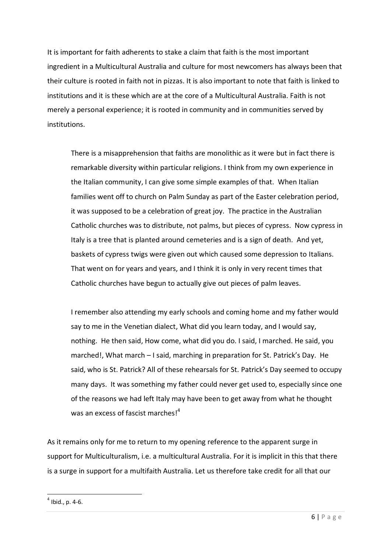It is important for faith adherents to stake a claim that faith is the most important ingredient in a Multicultural Australia and culture for most newcomers has always been that their culture is rooted in faith not in pizzas. It is also important to note that faith is linked to institutions and it is these which are at the core of a Multicultural Australia. Faith is not merely a personal experience; it is rooted in community and in communities served by institutions.

There is a misapprehension that faiths are monolithic as it were but in fact there is remarkable diversity within particular religions. I think from my own experience in the Italian community, I can give some simple examples of that. When Italian families went off to church on Palm Sunday as part of the Easter celebration period, it was supposed to be a celebration of great joy. The practice in the Australian Catholic churches was to distribute, not palms, but pieces of cypress. Now cypress in Italy is a tree that is planted around cemeteries and is a sign of death. And yet, baskets of cypress twigs were given out which caused some depression to Italians. That went on for years and years, and I think it is only in very recent times that Catholic churches have begun to actually give out pieces of palm leaves.

I remember also attending my early schools and coming home and my father would say to me in the Venetian dialect, What did you learn today, and I would say, nothing. He then said, How come, what did you do. I said, I marched. He said, you marched!, What march – I said, marching in preparation for St. Patrick's Day. He said, who is St. Patrick? All of these rehearsals for St. Patrick's Day seemed to occupy many days. It was something my father could never get used to, especially since one of the reasons we had left Italy may have been to get away from what he thought was an excess of fascist marches!<sup>4</sup>

As it remains only for me to return to my opening reference to the apparent surge in support for Multiculturalism, i.e. a multicultural Australia. For it is implicit in this that there is a surge in support for a multifaith Australia. Let us therefore take credit for all that our

**.** 

 $<sup>4</sup>$  Ibid., p. 4-6.</sup>